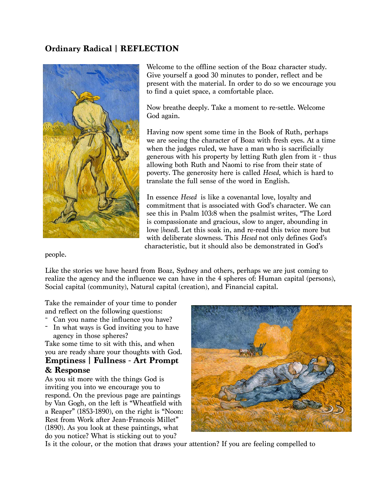## **Ordinary Radical | REFLECTION**



Welcome to the offline section of the Boaz character study. Give yourself a good 30 minutes to ponder, reflect and be present with the material. In order to do so we encourage you to find a quiet space, a comfortable place.

Now breathe deeply. Take a moment to re-settle. Welcome God again.

Having now spent some time in the Book of Ruth, perhaps we are seeing the character of Boaz with fresh eyes. At a time when the judges ruled, we have a man who is sacrificially generous with his property by letting Ruth glen from it - thus allowing both Ruth and Naomi to rise from their state of poverty. The generosity here is called *Hesed*, which is hard to translate the full sense of the word in English.

In essence *Hesed* is like a covenantal love, loyalty and commitment that is associated with God's character. We can see this in Psalm 103:8 when the psalmist writes, "The Lord is compassionate and gracious, slow to anger, abounding in love [*hesed*]. Let this soak in, and re-read this twice more but with deliberate slowness. This *Hesed* not only defines God's characteristic, but it should also be demonstrated in God's

people.

Like the stories we have heard from Boaz, Sydney and others, perhaps we are just coming to realize the agency and the influence we can have in the 4 spheres of: Human capital (persons), Social capital (community), Natural capital (creation), and Financial capital.

Take the remainder of your time to ponder and reflect on the following questions:<br>- Can you name the influence you have?

- 
- In what ways is God inviting you to have agency in those spheres?

Take some time to sit with this, and when you are ready share your thoughts with God. **Emptiness | Fullness - Art Prompt** 

## **& Response**

As you sit more with the things God is inviting you into we encourage you to respond. On the previous page are paintings by Van Gogh, on the left is "Wheatfield with a Reaper" (1853-1890), on the right is "Noon: Rest from Work after Jean-Francois Millet" (1890). As you look at these paintings, what do you notice? What is sticking out to you?



Is it the colour, or the motion that draws your attention? If you are feeling compelled to